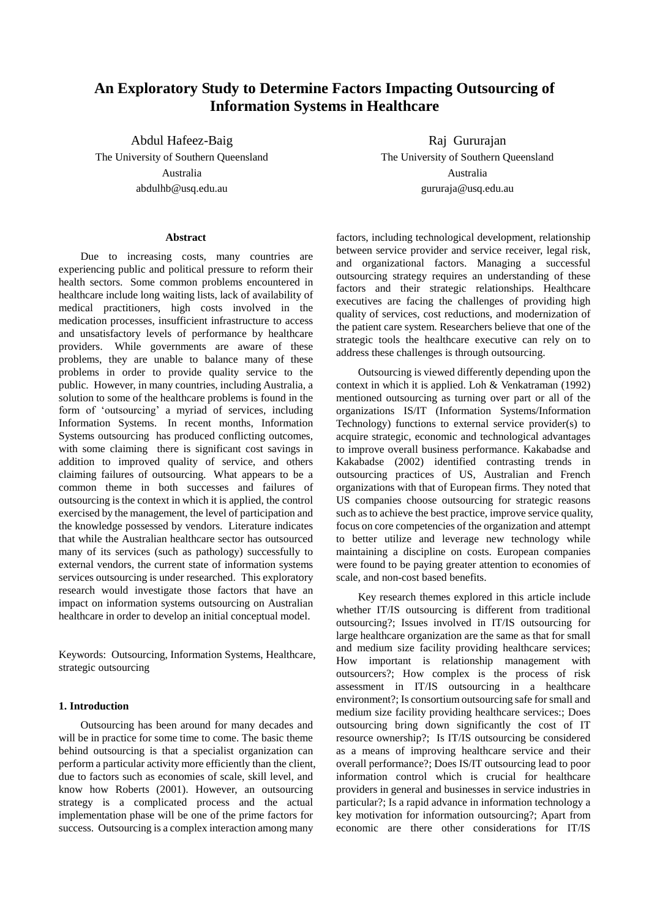# **An Exploratory Study to Determine Factors Impacting Outsourcing of Information Systems in Healthcare**

Abdul Hafeez-Baig The University of Southern Queensland Australia abdulhb@usq.edu.au

#### **Abstract**

Due to increasing costs, many countries are experiencing public and political pressure to reform their health sectors. Some common problems encountered in healthcare include long waiting lists, lack of availability of medical practitioners, high costs involved in the medication processes, insufficient infrastructure to access and unsatisfactory levels of performance by healthcare providers. While governments are aware of these problems, they are unable to balance many of these problems in order to provide quality service to the public. However, in many countries, including Australia, a solution to some of the healthcare problems is found in the form of'outsourcing'a myriad of services, including Information Systems. In recent months, Information Systems outsourcing has produced conflicting outcomes, with some claiming there is significant cost savings in addition to improved quality of service, and others claiming failures of outsourcing. What appears to be a common theme in both successes and failures of outsourcing is the context in which it is applied, the control exercised by the management, the level of participation and the knowledge possessed by vendors. Literature indicates that while the Australian healthcare sector has outsourced many of its services (such as pathology) successfully to external vendors, the current state of information systems services outsourcing is under researched. This exploratory research would investigate those factors that have an impact on information systems outsourcing on Australian healthcare in order to develop an initial conceptual model.

Keywords: Outsourcing, Information Systems, Healthcare, strategic outsourcing

### **1. Introduction**

Outsourcing has been around for many decades and will be in practice for some time to come. The basic theme behind outsourcing is that a specialist organization can perform a particular activity more efficiently than the client, due to factors such as economies of scale, skill level, and know how Roberts (2001). However, an outsourcing strategy is a complicated process and the actual implementation phase will be one of the prime factors for success. Outsourcing is a complex interaction among many

Raj Gururajan The University of Southern Queensland Australia gururaja@usq.edu.au

factors, including technological development, relationship between service provider and service receiver, legal risk, and organizational factors. Managing a successful outsourcing strategy requires an understanding of these factors and their strategic relationships. Healthcare executives are facing the challenges of providing high quality of services, cost reductions, and modernization of the patient care system. Researchers believe that one of the strategic tools the healthcare executive can rely on to address these challenges is through outsourcing.

Outsourcing is viewed differently depending upon the context in which it is applied. Loh & Venkatraman (1992) mentioned outsourcing as turning over part or all of the organizations IS/IT (Information Systems/Information Technology) functions to external service provider(s) to acquire strategic, economic and technological advantages to improve overall business performance. Kakabadse and Kakabadse (2002) identified contrasting trends in outsourcing practices of US, Australian and French organizations with that of European firms. They noted that US companies choose outsourcing for strategic reasons such as to achieve the best practice, improve service quality, focus on core competencies of the organization and attempt to better utilize and leverage new technology while maintaining a discipline on costs. European companies were found to be paying greater attention to economies of scale, and non-cost based benefits.

Key research themes explored in this article include whether IT/IS outsourcing is different from traditional outsourcing?; Issues involved in IT/IS outsourcing for large healthcare organization are the same as that for small and medium size facility providing healthcare services; How important is relationship management with outsourcers?; How complex is the process of risk assessment in IT/IS outsourcing in a healthcare environment?; Is consortium outsourcing safe for small and medium size facility providing healthcare services:; Does outsourcing bring down significantly the cost of IT resource ownership?; Is IT/IS outsourcing be considered as a means of improving healthcare service and their overall performance?; Does IS/IT outsourcing lead to poor information control which is crucial for healthcare providers in general and businesses in service industries in particular?; Is a rapid advance in information technology a key motivation for information outsourcing?; Apart from economic are there other considerations for IT/IS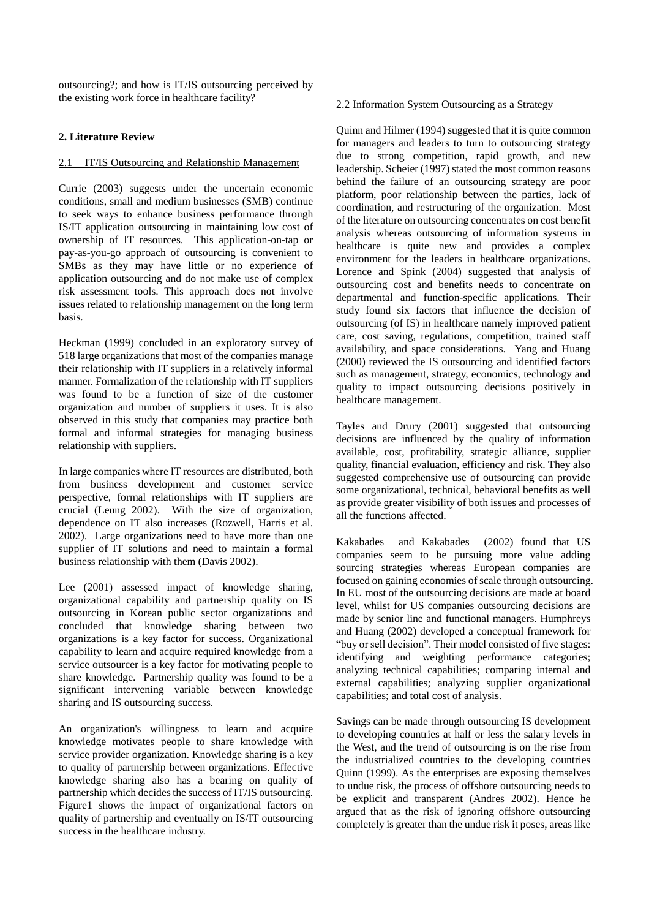outsourcing?; and how is IT/IS outsourcing perceived by the existing work force in healthcare facility?

## **2. Literature Review**

## 2.1 IT/IS Outsourcing and Relationship Management

Currie (2003) suggests under the uncertain economic conditions, small and medium businesses (SMB) continue to seek ways to enhance business performance through IS/IT application outsourcing in maintaining low cost of ownership of IT resources. This application-on-tap or pay-as-you-go approach of outsourcing is convenient to SMBs as they may have little or no experience of application outsourcing and do not make use of complex risk assessment tools. This approach does not involve issues related to relationship management on the long term basis.

Heckman (1999) concluded in an exploratory survey of 518 large organizations that most of the companies manage their relationship with IT suppliers in a relatively informal manner. Formalization of the relationship with IT suppliers was found to be a function of size of the customer organization and number of suppliers it uses. It is also observed in this study that companies may practice both formal and informal strategies for managing business relationship with suppliers.

In large companies where IT resources are distributed, both from business development and customer service perspective, formal relationships with IT suppliers are crucial (Leung 2002). With the size of organization, dependence on IT also increases (Rozwell, Harris et al. 2002). Large organizations need to have more than one supplier of IT solutions and need to maintain a formal business relationship with them (Davis 2002).

Lee  $(2001)$  assessed impact of knowledge sharing, organizational capability and partnership quality on IS outsourcing in Korean public sector organizations and concluded that knowledge sharing between two organizations is a key factor for success. Organizational capability to learn and acquire required knowledge from a service outsourcer is a key factor for motivating people to share knowledge. Partnership quality was found to be a significant intervening variable between knowledge sharing and IS outsourcing success.

An organization's willingness to learn and acquire knowledge motivates people to share knowledge with service provider organization. Knowledge sharing is a key to quality of partnership between organizations. Effective knowledge sharing also has a bearing on quality of partnership which decides the success of IT/IS outsourcing. Figure1 shows the impact of organizational factors on quality of partnership and eventually on IS/IT outsourcing success in the healthcare industry.

## 2.2 Information System Outsourcing as a Strategy

Quinn and Hilmer (1994) suggested that it is quite common for managers and leaders to turn to outsourcing strategy due to strong competition, rapid growth, and new leadership. Scheier (1997) stated the most common reasons behind the failure of an outsourcing strategy are poor platform, poor relationship between the parties, lack of coordination, and restructuring of the organization. Most of the literature on outsourcing concentrates on cost benefit analysis whereas outsourcing of information systems in healthcare is quite new and provides a complex environment for the leaders in healthcare organizations. Lorence and Spink (2004) suggested that analysis of outsourcing cost and benefits needs to concentrate on departmental and function-specific applications. Their study found six factors that influence the decision of outsourcing (of IS) in healthcare namely improved patient care, cost saving, regulations, competition, trained staff availability, and space considerations. Yang and Huang (2000) reviewed the IS outsourcing and identified factors such as management, strategy, economics, technology and quality to impact outsourcing decisions positively in healthcare management.

Tayles and Drury (2001) suggested that outsourcing decisions are influenced by the quality of information available, cost, profitability, strategic alliance, supplier quality, financial evaluation, efficiency and risk. They also suggested comprehensive use of outsourcing can provide some organizational, technical, behavioral benefits as well as provide greater visibility of both issues and processes of all the functions affected.

Kakabades and Kakabades (2002) found that US companies seem to be pursuing more value adding sourcing strategies whereas European companies are focused on gaining economies of scale through outsourcing. In EU most of the outsourcing decisions are made at board level, whilst for US companies outsourcing decisions are made by senior line and functional managers. Humphreys and Huang (2002) developed a conceptual framework for "buy or sell decision". Their model consisted of five stages: identifying and weighting performance categories; analyzing technical capabilities; comparing internal and external capabilities; analyzing supplier organizational capabilities; and total cost of analysis.

Savings can be made through outsourcing IS development to developing countries at half or less the salary levels in the West, and the trend of outsourcing is on the rise from the industrialized countries to the developing countries Quinn (1999). As the enterprises are exposing themselves to undue risk, the process of offshore outsourcing needs to be explicit and transparent (Andres 2002). Hence he argued that as the risk of ignoring offshore outsourcing completely is greater than the undue risk it poses, areas like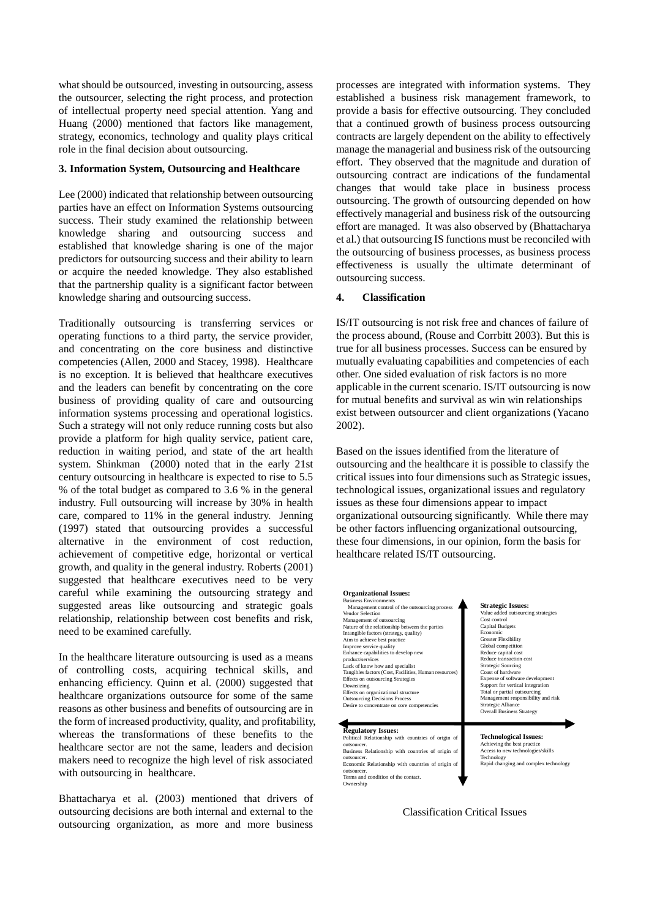what should be outsourced, investing in outsourcing, assess the outsourcer, selecting the right process, and protection of intellectual property need special attention. Yang and Huang (2000) mentioned that factors like management, strategy, economics, technology and quality plays critical role in the final decision about outsourcing.

#### **3. Information System, Outsourcing and Healthcare**

Lee (2000) indicated that relationship between outsourcing parties have an effect on Information Systems outsourcing success. Their study examined the relationship between knowledge sharing and outsourcing success and established that knowledge sharing is one of the major predictors for outsourcing success and their ability to learn or acquire the needed knowledge. They also established that the partnership quality is a significant factor between knowledge sharing and outsourcing success.

Traditionally outsourcing is transferring services or operating functions to a third party, the service provider, and concentrating on the core business and distinctive competencies (Allen, 2000 and Stacey, 1998). Healthcare is no exception. It is believed that healthcare executives and the leaders can benefit by concentrating on the core business of providing quality of care and outsourcing information systems processing and operational logistics. Such a strategy will not only reduce running costs but also provide a platform for high quality service, patient care, reduction in waiting period, and state of the art health system. Shinkman (2000) noted that in the early 21st century outsourcing in healthcare is expected to rise to 5.5 % of the total budget as compared to 3.6 % in the general industry. Full outsourcing will increase by 30% in health care, compared to 11% in the general industry. Jenning (1997) stated that outsourcing provides a successful alternative in the environment of cost reduction, achievement of competitive edge, horizontal or vertical growth, and quality in the general industry. Roberts (2001) suggested that healthcare executives need to be very careful while examining the outsourcing strategy and suggested areas like outsourcing and strategic goals relationship, relationship between cost benefits and risk, need to be examined carefully.

In the healthcare literature outsourcing is used as a means of controlling costs, acquiring technical skills, and enhancing efficiency. Quinn et al. (2000) suggested that healthcare organizations outsource for some of the same reasons as other business and benefits of outsourcing are in the form of increased productivity, quality, and profitability, whereas the transformations of these benefits to the healthcare sector are not the same, leaders and decision makers need to recognize the high level of risk associated with outsourcing in healthcare.

Bhattacharya et al. (2003) mentioned that drivers of outsourcing decisions are both internal and external to the outsourcing organization, as more and more business

processes are integrated with information systems. They established a business risk management framework, to provide a basis for effective outsourcing. They concluded that a continued growth of business process outsourcing contracts are largely dependent on the ability to effectively manage the managerial and business risk of the outsourcing effort. They observed that the magnitude and duration of outsourcing contract are indications of the fundamental changes that would take place in business process outsourcing. The growth of outsourcing depended on how effectively managerial and business risk of the outsourcing effort are managed. It was also observed by (Bhattacharya et al.) that outsourcing IS functions must be reconciled with the outsourcing of business processes, as business process effectiveness is usually the ultimate determinant of outsourcing success.

#### **4. Classification**

IS/IT outsourcing is not risk free and chances of failure of the process abound, (Rouse and Corrbitt 2003). But this is true for all business processes. Success can be ensured by mutually evaluating capabilities and competencies of each other. One sided evaluation of risk factors is no more applicable in the current scenario. IS/IT outsourcing is now for mutual benefits and survival as win win relationships exist between outsourcer and client organizations (Yacano 2002).

Based on the issues identified from the literature of outsourcing and the healthcare it is possible to classify the critical issues into four dimensions such as Strategic issues, technological issues, organizational issues and regulatory issues as these four dimensions appear to impact organizational outsourcing significantly. While there may be other factors influencing organizational outsourcing, these four dimensions, in our opinion, form the basis for healthcare related IS/IT outsourcing.

| <b>Business Environments</b>                                                                                                                                                                                                                                                               | <b>Strategic Issues:</b>                                                                                                                                |
|--------------------------------------------------------------------------------------------------------------------------------------------------------------------------------------------------------------------------------------------------------------------------------------------|---------------------------------------------------------------------------------------------------------------------------------------------------------|
| Management control of the outsourcing process                                                                                                                                                                                                                                              | Value added outsourcing strategies                                                                                                                      |
| Vendor Selection                                                                                                                                                                                                                                                                           | Cost control                                                                                                                                            |
| Management of outsourcing                                                                                                                                                                                                                                                                  | <b>Capital Budgets</b>                                                                                                                                  |
| Nature of the relationship between the parties                                                                                                                                                                                                                                             | Economic                                                                                                                                                |
| Intangible factors (strategy, quality)                                                                                                                                                                                                                                                     | <b>Greater Flexibility</b>                                                                                                                              |
| Aim to achieve best practice                                                                                                                                                                                                                                                               | Global competition                                                                                                                                      |
| Improve service quality                                                                                                                                                                                                                                                                    | Reduce capital cost                                                                                                                                     |
| Enhance capabilities to develop new                                                                                                                                                                                                                                                        | Reduce transaction cost                                                                                                                                 |
| product/services                                                                                                                                                                                                                                                                           | <b>Strategic Sourcing</b>                                                                                                                               |
| Lack of know how and specialist                                                                                                                                                                                                                                                            | Coast of hardware                                                                                                                                       |
| Tangibles factors (Cost, Facilities, Human resources)                                                                                                                                                                                                                                      | Expense of software development                                                                                                                         |
| Effects on outsourcing Strategies                                                                                                                                                                                                                                                          | Support for vertical integration                                                                                                                        |
| Downsizing                                                                                                                                                                                                                                                                                 | Total or partial outsourcing                                                                                                                            |
| Effects on organizational structure                                                                                                                                                                                                                                                        | Management responsibility and risk                                                                                                                      |
| <b>Outsourcing Decisions Process</b>                                                                                                                                                                                                                                                       | Strategic Alliance                                                                                                                                      |
| Desire to concentrate on core competencies                                                                                                                                                                                                                                                 | <b>Overall Business Strategy</b>                                                                                                                        |
| <b>Regulatory Issues:</b><br>Political Relationship with countries of origin of<br>outsourcer.<br>Business Relationship with countries of origin of<br>outsourcer.<br>Economic Relationship with countries of origin of<br>outsourcer.<br>Terms and condition of the contact.<br>Ownership | <b>Technological Issues:</b><br>Achieving the best practice<br>Access to new technologies/skills<br>Technology<br>Rapid changing and complex technology |

#### Classification Critical Issues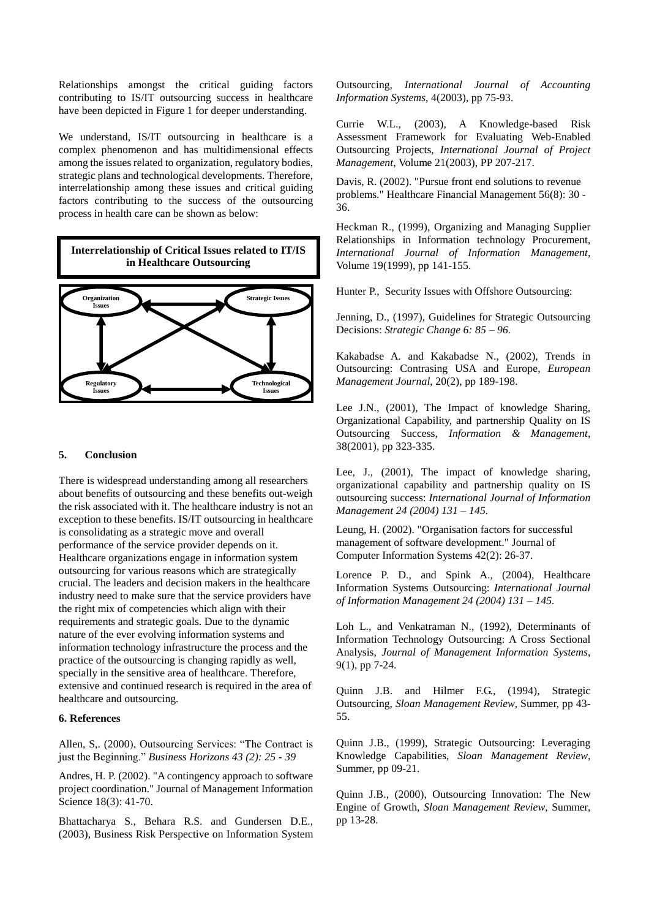Relationships amongst the critical guiding factors contributing to IS/IT outsourcing success in healthcare have been depicted in Figure 1 for deeper understanding.

We understand, IS/IT outsourcing in healthcare is a complex phenomenon and has multidimensional effects among the issues related to organization, regulatory bodies, strategic plans and technological developments. Therefore, interrelationship among these issues and critical guiding factors contributing to the success of the outsourcing process in health care can be shown as below:



#### **5. Conclusion**

There is widespread understanding among all researchers about benefits of outsourcing and these benefits out-weigh the risk associated with it. The healthcare industry is not an exception to these benefits. IS/IT outsourcing in healthcare is consolidating as a strategic move and overall performance of the service provider depends on it. Healthcare organizations engage in information system outsourcing for various reasons which are strategically crucial. The leaders and decision makers in the healthcare industry need to make sure that the service providers have the right mix of competencies which align with their requirements and strategic goals. Due to the dynamic nature of the ever evolving information systems and information technology infrastructure the process and the practice of the outsourcing is changing rapidly as well, specially in the sensitive area of healthcare. Therefore, extensive and continued research is required in the area of healthcare and outsourcing.

#### **6. References**

Allen, S., (2000), Outsourcing Services: "The Contract is just the Beginning." *Business Horizons 43 (2): 25 - 39* 

Andres, H. P. (2002). "A contingency approach to software project coordination." Journal of Management Information Science 18(3): 41-70.

Bhattacharya S., Behara R.S. and Gundersen D.E., (2003), Business Risk Perspective on Information System Outsourcing, *International Journal of Accounting Information Systems*, 4(2003), pp 75-93.

Currie W.L., (2003), A Knowledge-based Risk Assessment Framework for Evaluating Web-Enabled Outsourcing Projects, *International Journal of Project Management*, Volume 21(2003), PP 207-217.

Davis, R. (2002). "Pursue front end solutions to revenue problems." Healthcare Financial Management 56(8): 30 - 36.

Heckman R., (1999), Organizing and Managing Supplier Relationships in Information technology Procurement, *International Journal of Information Management*, Volume 19(1999), pp 141-155.

Hunter P., Security Issues with Offshore Outsourcing:

Jenning, D., (1997), Guidelines for Strategic Outsourcing Decisions: *Strategic Change 6: 85 –96.*

Kakabadse A. and Kakabadse N., (2002), Trends in Outsourcing: Contrasing USA and Europe, *European Management Journal*, 20(2), pp 189-198.

Lee J.N., (2001), The Impact of knowledge Sharing, Organizational Capability, and partnership Quality on IS Outsourcing Success, *Information & Management*, 38(2001), pp 323-335.

Lee, J., (2001), The impact of knowledge sharing, organizational capability and partnership quality on IS outsourcing success: *International Journal of Information Management 24 (2004) 131 –145.*

Leung, H. (2002). "Organisation factors for successful management of software development." Journal of Computer Information Systems 42(2): 26-37.

Lorence P. D., and Spink A., (2004), Healthcare Information Systems Outsourcing: *International Journal of Information Management 24 (2004) 131 –145.*

Loh L., and Venkatraman N., (1992), Determinants of Information Technology Outsourcing: A Cross Sectional Analysis, *Journal of Management Information Systems*, 9(1), pp 7-24.

Quinn J.B. and Hilmer F.G., (1994), Strategic Outsourcing, *Sloan Management Review*, Summer, pp 43- 55.

Quinn J.B., (1999), Strategic Outsourcing: Leveraging Knowledge Capabilities, *Sloan Management Review*, Summer, pp 09-21.

Quinn J.B., (2000), Outsourcing Innovation: The New Engine of Growth, *Sloan Management Review*, Summer, pp 13-28.